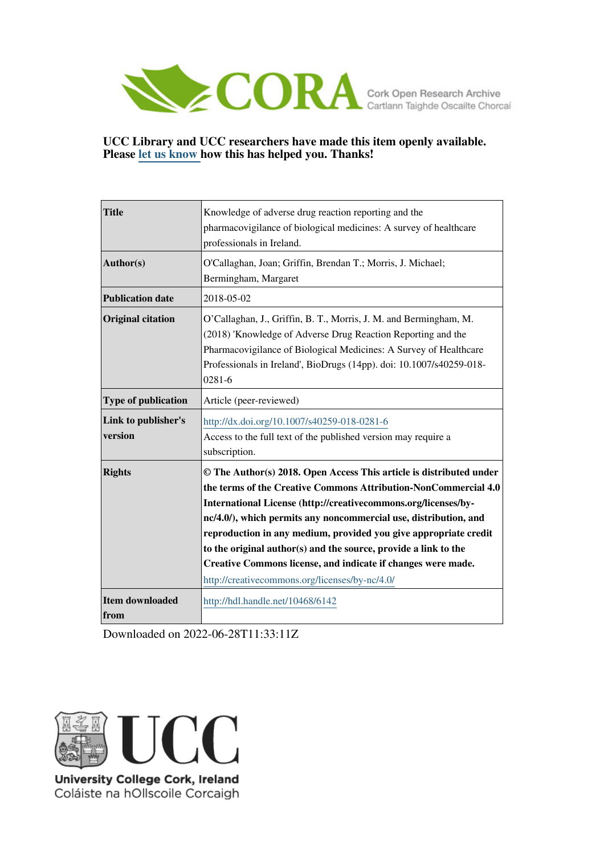

## **UCC Library and UCC researchers have made this item openly available. Please [let us know h](https://libguides.ucc.ie/openaccess/impact?suffix=6142&title=Knowledge of adverse drug reaction reporting and the pharmacovigilance of biological medicines: A survey of healthcare professionals in Ireland.)ow this has helped you. Thanks!**

| <b>Title</b>                   | Knowledge of adverse drug reaction reporting and the<br>pharmacovigilance of biological medicines: A survey of healthcare<br>professionals in Ireland.                                                                                                                                                                                                                                                                                                                                                                                |
|--------------------------------|---------------------------------------------------------------------------------------------------------------------------------------------------------------------------------------------------------------------------------------------------------------------------------------------------------------------------------------------------------------------------------------------------------------------------------------------------------------------------------------------------------------------------------------|
| Author(s)                      | O'Callaghan, Joan; Griffin, Brendan T.; Morris, J. Michael;<br>Bermingham, Margaret                                                                                                                                                                                                                                                                                                                                                                                                                                                   |
| <b>Publication date</b>        | 2018-05-02                                                                                                                                                                                                                                                                                                                                                                                                                                                                                                                            |
| <b>Original citation</b>       | O'Callaghan, J., Griffin, B. T., Morris, J. M. and Bermingham, M.<br>(2018) 'Knowledge of Adverse Drug Reaction Reporting and the<br>Pharmacovigilance of Biological Medicines: A Survey of Healthcare<br>Professionals in Ireland', BioDrugs (14pp). doi: 10.1007/s40259-018-<br>0281-6                                                                                                                                                                                                                                              |
| <b>Type of publication</b>     | Article (peer-reviewed)                                                                                                                                                                                                                                                                                                                                                                                                                                                                                                               |
| Link to publisher's<br>version | http://dx.doi.org/10.1007/s40259-018-0281-6<br>Access to the full text of the published version may require a<br>subscription.                                                                                                                                                                                                                                                                                                                                                                                                        |
| <b>Rights</b>                  | © The Author(s) 2018. Open Access This article is distributed under<br>the terms of the Creative Commons Attribution-NonCommercial 4.0<br>International License (http://creativecommons.org/licenses/by-<br>nc/4.0/), which permits any noncommercial use, distribution, and<br>reproduction in any medium, provided you give appropriate credit<br>to the original author(s) and the source, provide a link to the<br>Creative Commons license, and indicate if changes were made.<br>http://creativecommons.org/licenses/by-nc/4.0/ |
| Item downloaded<br>from        | http://hdl.handle.net/10468/6142                                                                                                                                                                                                                                                                                                                                                                                                                                                                                                      |

Downloaded on 2022-06-28T11:33:11Z



University College Cork, Ireland Coláiste na hOllscoile Corcaigh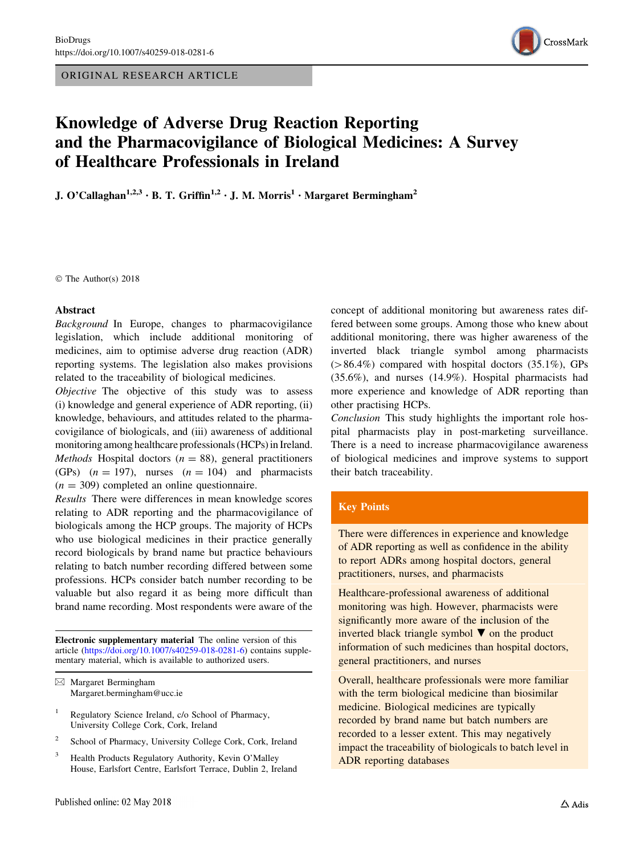ORIGINAL RESEARCH ARTICLE



# Knowledge of Adverse Drug Reaction Reporting and the Pharmacovigilance of Biological Medicines: A Survey of Healthcare Professionals in Ireland

J. O'Callaghan<sup>1,2,3</sup> • B. T. Griffin<sup>1,2</sup> • J. M. Morris<sup>1</sup> • Margaret Bermingham<sup>2</sup>

© The Author(s) 2018

#### Abstract

Background In Europe, changes to pharmacovigilance legislation, which include additional monitoring of medicines, aim to optimise adverse drug reaction (ADR) reporting systems. The legislation also makes provisions related to the traceability of biological medicines.

Objective The objective of this study was to assess (i) knowledge and general experience of ADR reporting, (ii) knowledge, behaviours, and attitudes related to the pharmacovigilance of biologicals, and (iii) awareness of additional monitoring among healthcare professionals (HCPs) in Ireland. *Methods* Hospital doctors ( $n = 88$ ), general practitioners (GPs)  $(n = 197)$ , nurses  $(n = 104)$  and pharmacists  $(n = 309)$  completed an online questionnaire.

Results There were differences in mean knowledge scores relating to ADR reporting and the pharmacovigilance of biologicals among the HCP groups. The majority of HCPs who use biological medicines in their practice generally record biologicals by brand name but practice behaviours relating to batch number recording differed between some professions. HCPs consider batch number recording to be valuable but also regard it as being more difficult than brand name recording. Most respondents were aware of the

Electronic supplementary material The online version of this article [\(https://doi.org/10.1007/s40259-018-0281-6](http://dx.doi.org/10.1007/s40259-018-0281-6)) contains supplementary material, which is available to authorized users.

- Regulatory Science Ireland, c/o School of Pharmacy, University College Cork, Cork, Ireland
- <sup>2</sup> School of Pharmacy, University College Cork, Cork, Ireland
- <sup>3</sup> Health Products Regulatory Authority, Kevin O'Malley House, Earlsfort Centre, Earlsfort Terrace, Dublin 2, Ireland

concept of additional monitoring but awareness rates differed between some groups. Among those who knew about additional monitoring, there was higher awareness of the inverted black triangle symbol among pharmacists  $(>86.4\%)$  compared with hospital doctors  $(35.1\%)$ , GPs (35.6%), and nurses (14.9%). Hospital pharmacists had more experience and knowledge of ADR reporting than other practising HCPs.

Conclusion This study highlights the important role hospital pharmacists play in post-marketing surveillance. There is a need to increase pharmacovigilance awareness of biological medicines and improve systems to support their batch traceability.

#### Key Points

There were differences in experience and knowledge of ADR reporting as well as confidence in the ability to report ADRs among hospital doctors, general practitioners, nurses, and pharmacists

Healthcare-professional awareness of additional monitoring was high. However, pharmacists were significantly more aware of the inclusion of the inverted black triangle symbol  $\nabla$  on the product information of such medicines than hospital doctors, general practitioners, and nurses

Overall, healthcare professionals were more familiar with the term biological medicine than biosimilar medicine. Biological medicines are typically recorded by brand name but batch numbers are recorded to a lesser extent. This may negatively impact the traceability of biologicals to batch level in ADR reporting databases

 $\boxtimes$  Margaret Bermingham Margaret.bermingham@ucc.ie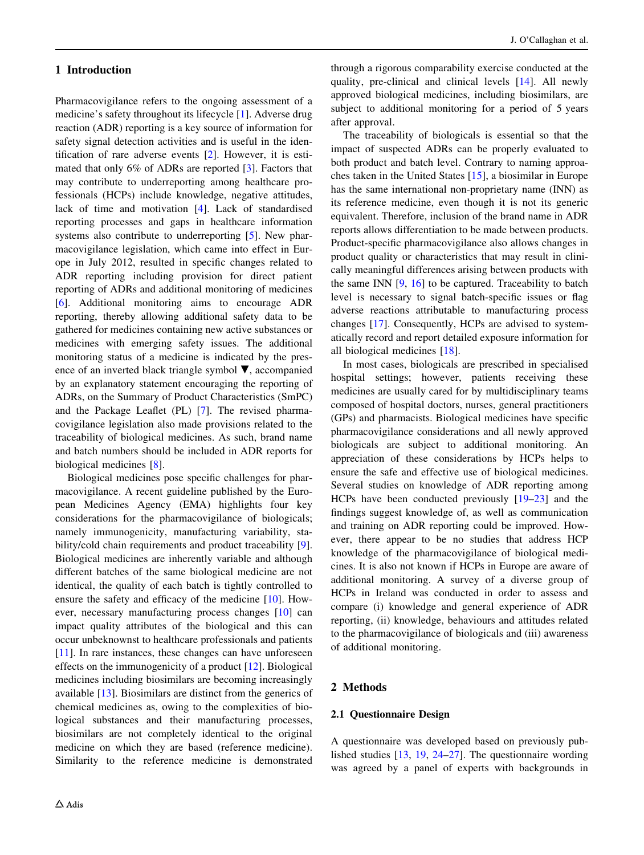## 1 Introduction

Pharmacovigilance refers to the ongoing assessment of a medicine's safety throughout its lifecycle [\[1\]](#page-12-0). Adverse drug reaction (ADR) reporting is a key source of information for safety signal detection activities and is useful in the identification of rare adverse events [\[2](#page-13-0)]. However, it is estimated that only 6% of ADRs are reported [[3\]](#page-13-0). Factors that may contribute to underreporting among healthcare professionals (HCPs) include knowledge, negative attitudes, lack of time and motivation [\[4](#page-13-0)]. Lack of standardised reporting processes and gaps in healthcare information systems also contribute to underreporting [\[5](#page-13-0)]. New pharmacovigilance legislation, which came into effect in Europe in July 2012, resulted in specific changes related to ADR reporting including provision for direct patient reporting of ADRs and additional monitoring of medicines [\[6](#page-13-0)]. Additional monitoring aims to encourage ADR reporting, thereby allowing additional safety data to be gathered for medicines containing new active substances or medicines with emerging safety issues. The additional monitoring status of a medicine is indicated by the presence of an inverted black triangle symbol  $\nabla$ , accompanied by an explanatory statement encouraging the reporting of ADRs, on the Summary of Product Characteristics (SmPC) and the Package Leaflet (PL) [\[7](#page-13-0)]. The revised pharmacovigilance legislation also made provisions related to the traceability of biological medicines. As such, brand name and batch numbers should be included in ADR reports for biological medicines [[8\]](#page-13-0).

Biological medicines pose specific challenges for pharmacovigilance. A recent guideline published by the European Medicines Agency (EMA) highlights four key considerations for the pharmacovigilance of biologicals; namely immunogenicity, manufacturing variability, stability/cold chain requirements and product traceability [\[9](#page-13-0)]. Biological medicines are inherently variable and although different batches of the same biological medicine are not identical, the quality of each batch is tightly controlled to ensure the safety and efficacy of the medicine [\[10](#page-13-0)]. However, necessary manufacturing process changes [\[10](#page-13-0)] can impact quality attributes of the biological and this can occur unbeknownst to healthcare professionals and patients [\[11](#page-13-0)]. In rare instances, these changes can have unforeseen effects on the immunogenicity of a product [\[12](#page-13-0)]. Biological medicines including biosimilars are becoming increasingly available [\[13](#page-13-0)]. Biosimilars are distinct from the generics of chemical medicines as, owing to the complexities of biological substances and their manufacturing processes, biosimilars are not completely identical to the original medicine on which they are based (reference medicine). Similarity to the reference medicine is demonstrated

through a rigorous comparability exercise conducted at the quality, pre-clinical and clinical levels [\[14](#page-13-0)]. All newly approved biological medicines, including biosimilars, are subject to additional monitoring for a period of 5 years after approval.

The traceability of biologicals is essential so that the impact of suspected ADRs can be properly evaluated to both product and batch level. Contrary to naming approaches taken in the United States [\[15](#page-13-0)], a biosimilar in Europe has the same international non-proprietary name (INN) as its reference medicine, even though it is not its generic equivalent. Therefore, inclusion of the brand name in ADR reports allows differentiation to be made between products. Product-specific pharmacovigilance also allows changes in product quality or characteristics that may result in clinically meaningful differences arising between products with the same INN [\[9](#page-13-0), [16\]](#page-13-0) to be captured. Traceability to batch level is necessary to signal batch-specific issues or flag adverse reactions attributable to manufacturing process changes [\[17](#page-13-0)]. Consequently, HCPs are advised to systematically record and report detailed exposure information for all biological medicines [\[18](#page-13-0)].

In most cases, biologicals are prescribed in specialised hospital settings; however, patients receiving these medicines are usually cared for by multidisciplinary teams composed of hospital doctors, nurses, general practitioners (GPs) and pharmacists. Biological medicines have specific pharmacovigilance considerations and all newly approved biologicals are subject to additional monitoring. An appreciation of these considerations by HCPs helps to ensure the safe and effective use of biological medicines. Several studies on knowledge of ADR reporting among HCPs have been conducted previously [\[19–23](#page-13-0)] and the findings suggest knowledge of, as well as communication and training on ADR reporting could be improved. However, there appear to be no studies that address HCP knowledge of the pharmacovigilance of biological medicines. It is also not known if HCPs in Europe are aware of additional monitoring. A survey of a diverse group of HCPs in Ireland was conducted in order to assess and compare (i) knowledge and general experience of ADR reporting, (ii) knowledge, behaviours and attitudes related to the pharmacovigilance of biologicals and (iii) awareness of additional monitoring.

#### 2 Methods

#### 2.1 Questionnaire Design

A questionnaire was developed based on previously published studies [\[13](#page-13-0), [19](#page-13-0), [24–27](#page-13-0)]. The questionnaire wording was agreed by a panel of experts with backgrounds in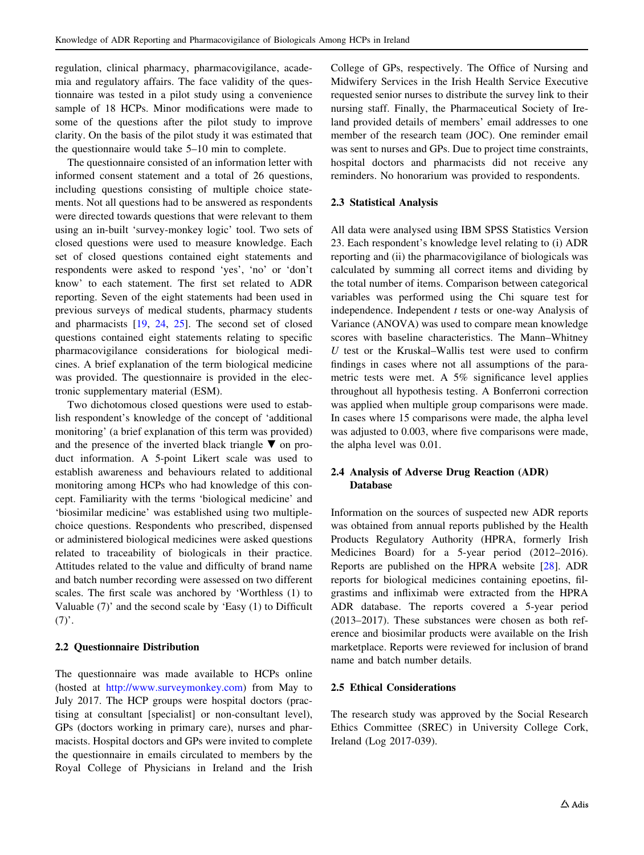regulation, clinical pharmacy, pharmacovigilance, academia and regulatory affairs. The face validity of the questionnaire was tested in a pilot study using a convenience sample of 18 HCPs. Minor modifications were made to some of the questions after the pilot study to improve clarity. On the basis of the pilot study it was estimated that the questionnaire would take 5–10 min to complete.

The questionnaire consisted of an information letter with informed consent statement and a total of 26 questions, including questions consisting of multiple choice statements. Not all questions had to be answered as respondents were directed towards questions that were relevant to them using an in-built 'survey-monkey logic' tool. Two sets of closed questions were used to measure knowledge. Each set of closed questions contained eight statements and respondents were asked to respond 'yes', 'no' or 'don't know' to each statement. The first set related to ADR reporting. Seven of the eight statements had been used in previous surveys of medical students, pharmacy students and pharmacists [\[19](#page-13-0), [24,](#page-13-0) [25\]](#page-13-0). The second set of closed questions contained eight statements relating to specific pharmacovigilance considerations for biological medicines. A brief explanation of the term biological medicine was provided. The questionnaire is provided in the electronic supplementary material (ESM).

Two dichotomous closed questions were used to establish respondent's knowledge of the concept of 'additional monitoring' (a brief explanation of this term was provided) and the presence of the inverted black triangle  $\nabla$  on product information. A 5-point Likert scale was used to establish awareness and behaviours related to additional monitoring among HCPs who had knowledge of this concept. Familiarity with the terms 'biological medicine' and 'biosimilar medicine' was established using two multiplechoice questions. Respondents who prescribed, dispensed or administered biological medicines were asked questions related to traceability of biologicals in their practice. Attitudes related to the value and difficulty of brand name and batch number recording were assessed on two different scales. The first scale was anchored by 'Worthless (1) to Valuable (7)' and the second scale by 'Easy (1) to Difficult  $(7)$ .

#### 2.2 Questionnaire Distribution

The questionnaire was made available to HCPs online (hosted at [http://www.surveymonkey.com\)](http://www.surveymonkey.com) from May to July 2017. The HCP groups were hospital doctors (practising at consultant [specialist] or non-consultant level), GPs (doctors working in primary care), nurses and pharmacists. Hospital doctors and GPs were invited to complete the questionnaire in emails circulated to members by the Royal College of Physicians in Ireland and the Irish College of GPs, respectively. The Office of Nursing and Midwifery Services in the Irish Health Service Executive requested senior nurses to distribute the survey link to their nursing staff. Finally, the Pharmaceutical Society of Ireland provided details of members' email addresses to one member of the research team (JOC). One reminder email was sent to nurses and GPs. Due to project time constraints, hospital doctors and pharmacists did not receive any reminders. No honorarium was provided to respondents.

#### 2.3 Statistical Analysis

All data were analysed using IBM SPSS Statistics Version 23. Each respondent's knowledge level relating to (i) ADR reporting and (ii) the pharmacovigilance of biologicals was calculated by summing all correct items and dividing by the total number of items. Comparison between categorical variables was performed using the Chi square test for independence. Independent  $t$  tests or one-way Analysis of Variance (ANOVA) was used to compare mean knowledge scores with baseline characteristics. The Mann–Whitney  $U$  test or the Kruskal–Wallis test were used to confirm findings in cases where not all assumptions of the parametric tests were met. A 5% significance level applies throughout all hypothesis testing. A Bonferroni correction was applied when multiple group comparisons were made. In cases where 15 comparisons were made, the alpha level was adjusted to 0.003, where five comparisons were made, the alpha level was 0.01.

#### 2.4 Analysis of Adverse Drug Reaction (ADR) Database

Information on the sources of suspected new ADR reports was obtained from annual reports published by the Health Products Regulatory Authority (HPRA, formerly Irish Medicines Board) for a 5-year period (2012–2016). Reports are published on the HPRA website [[28\]](#page-13-0). ADR reports for biological medicines containing epoetins, filgrastims and infliximab were extracted from the HPRA ADR database. The reports covered a 5-year period (2013–2017). These substances were chosen as both reference and biosimilar products were available on the Irish marketplace. Reports were reviewed for inclusion of brand name and batch number details.

#### 2.5 Ethical Considerations

The research study was approved by the Social Research Ethics Committee (SREC) in University College Cork, Ireland (Log 2017-039).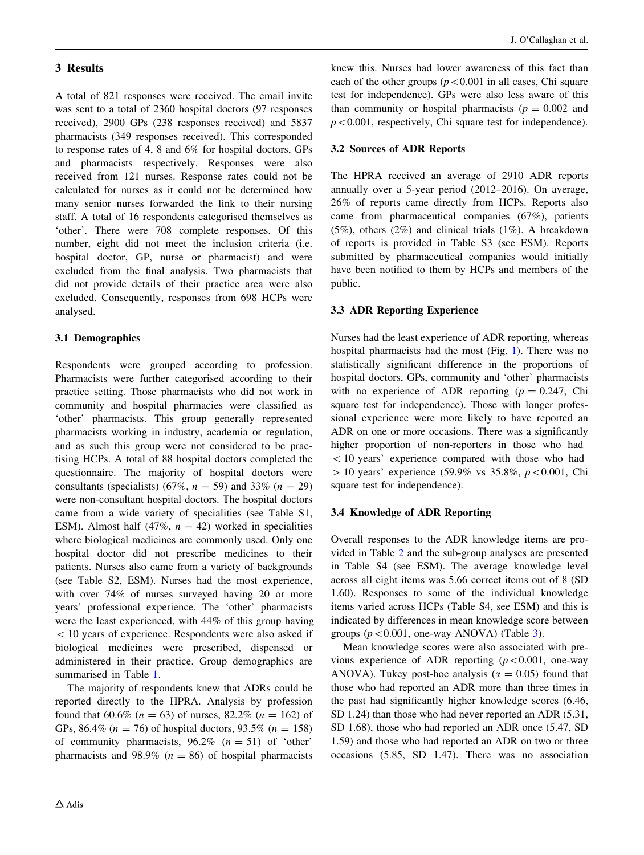## 3 Results

A total of 821 responses were received. The email invite was sent to a total of 2360 hospital doctors (97 responses received), 2900 GPs (238 responses received) and 5837 pharmacists (349 responses received). This corresponded to response rates of 4, 8 and 6% for hospital doctors, GPs and pharmacists respectively. Responses were also received from 121 nurses. Response rates could not be calculated for nurses as it could not be determined how many senior nurses forwarded the link to their nursing staff. A total of 16 respondents categorised themselves as 'other'. There were 708 complete responses. Of this number, eight did not meet the inclusion criteria (i.e. hospital doctor, GP, nurse or pharmacist) and were excluded from the final analysis. Two pharmacists that did not provide details of their practice area were also excluded. Consequently, responses from 698 HCPs were analysed.

#### 3.1 Demographics

Respondents were grouped according to profession. Pharmacists were further categorised according to their practice setting. Those pharmacists who did not work in community and hospital pharmacies were classified as 'other' pharmacists. This group generally represented pharmacists working in industry, academia or regulation, and as such this group were not considered to be practising HCPs. A total of 88 hospital doctors completed the questionnaire. The majority of hospital doctors were consultants (specialists) (67%,  $n = 59$ ) and 33% ( $n = 29$ ) were non-consultant hospital doctors. The hospital doctors came from a wide variety of specialities (see Table S1, ESM). Almost half (47%,  $n = 42$ ) worked in specialities where biological medicines are commonly used. Only one hospital doctor did not prescribe medicines to their patients. Nurses also came from a variety of backgrounds (see Table S2, ESM). Nurses had the most experience, with over 74% of nurses surveyed having 20 or more years' professional experience. The 'other' pharmacists were the least experienced, with 44% of this group having  $<$  10 years of experience. Respondents were also asked if biological medicines were prescribed, dispensed or administered in their practice. Group demographics are summarised in Table [1](#page-5-0).

The majority of respondents knew that ADRs could be reported directly to the HPRA. Analysis by profession found that 60.6% ( $n = 63$ ) of nurses, 82.2% ( $n = 162$ ) of GPs, 86.4% ( $n = 76$ ) of hospital doctors, 93.5% ( $n = 158$ ) of community pharmacists,  $96.2\%$  ( $n = 51$ ) of 'other' pharmacists and 98.9% ( $n = 86$ ) of hospital pharmacists

knew this. Nurses had lower awareness of this fact than each of the other groups ( $p < 0.001$  in all cases, Chi square test for independence). GPs were also less aware of this than community or hospital pharmacists ( $p = 0.002$  and  $p<0.001$ , respectively, Chi square test for independence).

#### 3.2 Sources of ADR Reports

The HPRA received an average of 2910 ADR reports annually over a 5-year period (2012–2016). On average, 26% of reports came directly from HCPs. Reports also came from pharmaceutical companies (67%), patients (5%), others (2%) and clinical trials (1%). A breakdown of reports is provided in Table S3 (see ESM). Reports submitted by pharmaceutical companies would initially have been notified to them by HCPs and members of the public.

#### 3.3 ADR Reporting Experience

Nurses had the least experience of ADR reporting, whereas hospital pharmacists had the most (Fig. [1](#page-5-0)). There was no statistically significant difference in the proportions of hospital doctors, GPs, community and 'other' pharmacists with no experience of ADR reporting ( $p = 0.247$ , Chi square test for independence). Those with longer professional experience were more likely to have reported an ADR on one or more occasions. There was a significantly higher proportion of non-reporters in those who had  $<$  10 years' experience compared with those who had  $> 10$  years' experience (59.9% vs 35.8%,  $p < 0.001$ , Chi square test for independence).

#### 3.4 Knowledge of ADR Reporting

Overall responses to the ADR knowledge items are provided in Table [2](#page-6-0) and the sub-group analyses are presented in Table S4 (see ESM). The average knowledge level across all eight items was 5.66 correct items out of 8 (SD 1.60). Responses to some of the individual knowledge items varied across HCPs (Table S4, see ESM) and this is indicated by differences in mean knowledge score between groups  $(p<0.001$ , one-way ANOVA) (Table [3\)](#page-6-0).

Mean knowledge scores were also associated with previous experience of ADR reporting  $(p<0.001,$  one-way ANOVA). Tukey post-hoc analysis ( $\alpha = 0.05$ ) found that those who had reported an ADR more than three times in the past had significantly higher knowledge scores (6.46, SD 1.24) than those who had never reported an ADR (5.31, SD 1.68), those who had reported an ADR once (5.47, SD 1.59) and those who had reported an ADR on two or three occasions (5.85, SD 1.47). There was no association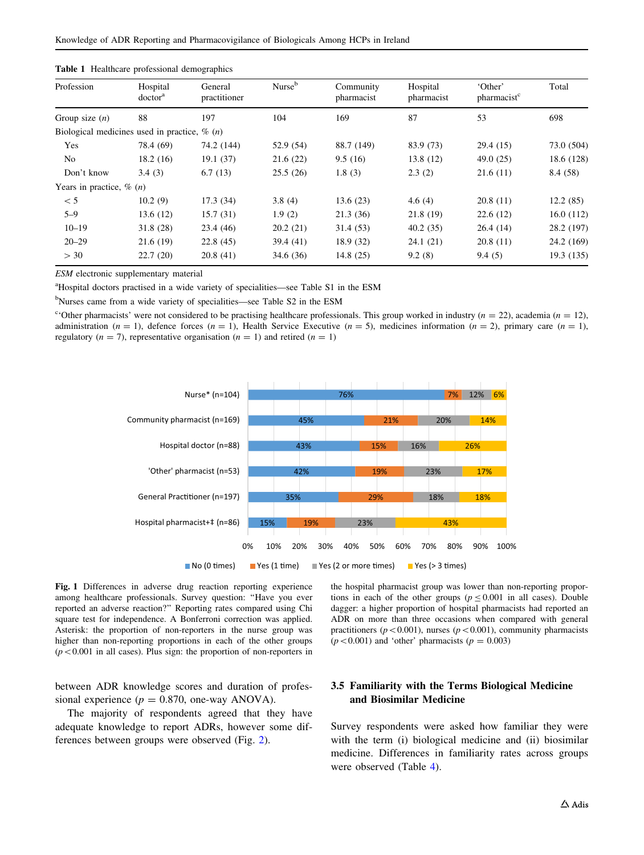| Profession                                               | Hospital<br>doctor <sup>a</sup> | General<br>practitioner | Nurse <sup>b</sup> | Community<br>pharmacist | Hospital<br>pharmacist | 'Other'<br>pharmacist <sup>c</sup> | Total      |
|----------------------------------------------------------|---------------------------------|-------------------------|--------------------|-------------------------|------------------------|------------------------------------|------------|
| Group size $(n)$                                         | 88                              | 197                     | 104                | 169                     | 87                     | 53                                 | 698        |
| Biological medicines used in practice, $\%$ ( <i>n</i> ) |                                 |                         |                    |                         |                        |                                    |            |
| <b>Yes</b>                                               | 78.4 (69)                       | 74.2 (144)              | 52.9 (54)          | 88.7 (149)              | 83.9 (73)              | 29.4(15)                           | 73.0 (504) |
| No.                                                      | 18.2(16)                        | 19.1(37)                | 21.6(22)           | 9.5(16)                 | 13.8(12)               | 49.0(25)                           | 18.6 (128) |
| Don't know                                               | 3.4(3)                          | 6.7(13)                 | 25.5(26)           | 1.8(3)                  | 2.3(2)                 | 21.6(11)                           | 8.4 (58)   |
| Years in practice, $\%$ (n)                              |                                 |                         |                    |                         |                        |                                    |            |
| < 5                                                      | 10.2(9)                         | 17.3(34)                | 3.8(4)             | 13.6(23)                | 4.6 $(4)$              | 20.8(11)                           | 12.2(85)   |
| $5 - 9$                                                  | 13.6(12)                        | 15.7(31)                | 1.9(2)             | 21.3(36)                | 21.8(19)               | 22.6(12)                           | 16.0(112)  |
| $10 - 19$                                                | 31.8(28)                        | 23.4(46)                | 20.2(21)           | 31.4(53)                | 40.2(35)               | 26.4(14)                           | 28.2 (197) |
| $20 - 29$                                                | 21.6(19)                        | 22.8(45)                | 39.4(41)           | 18.9 (32)               | 24.1(21)               | 20.8(11)                           | 24.2 (169) |
| > 30                                                     | 22.7(20)                        | 20.8(41)                | 34.6(36)           | 14.8(25)                | 9.2(8)                 | 9.4(5)                             | 19.3 (135) |

<span id="page-5-0"></span>Table 1 Healthcare professional demographics

ESM electronic supplementary material

<sup>a</sup>Hospital doctors practised in a wide variety of specialities—see Table S1 in the ESM

<sup>b</sup>Nurses came from a wide variety of specialities—see Table S2 in the ESM

<sup>c</sup> Other pharmacists' were not considered to be practising healthcare professionals. This group worked in industry ( $n = 22$ ), academia ( $n = 12$ ), administration (n = 1), defence forces (n = 1), Health Service Executive (n = 5), medicines information (n = 2), primary care (n = 1), regulatory ( $n = 7$ ), representative organisation ( $n = 1$ ) and retired ( $n = 1$ )



Fig. 1 Differences in adverse drug reaction reporting experience among healthcare professionals. Survey question: ''Have you ever reported an adverse reaction?'' Reporting rates compared using Chi square test for independence. A Bonferroni correction was applied. Asterisk: the proportion of non-reporters in the nurse group was higher than non-reporting proportions in each of the other groups  $(p<0.001$  in all cases). Plus sign: the proportion of non-reporters in

between ADR knowledge scores and duration of professional experience ( $p = 0.870$ , one-way ANOVA).

The majority of respondents agreed that they have adequate knowledge to report ADRs, however some differences between groups were observed (Fig. [2](#page-7-0)).

the hospital pharmacist group was lower than non-reporting proportions in each of the other groups ( $p \le 0.001$  in all cases). Double dagger: a higher proportion of hospital pharmacists had reported an ADR on more than three occasions when compared with general practitioners ( $p \lt 0.001$ ), nurses ( $p \lt 0.001$ ), community pharmacists  $(p<0.001)$  and 'other' pharmacists  $(p = 0.003)$ 

## 3.5 Familiarity with the Terms Biological Medicine and Biosimilar Medicine

Survey respondents were asked how familiar they were with the term (i) biological medicine and (ii) biosimilar medicine. Differences in familiarity rates across groups were observed (Table [4\)](#page-8-0).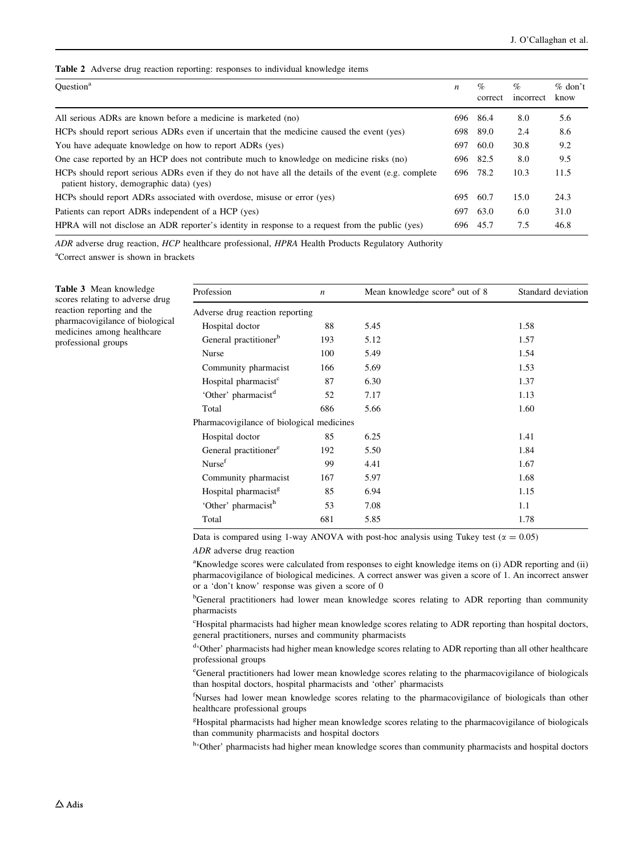<span id="page-6-0"></span>Table 2 Adverse drug reaction reporting: responses to individual knowledge items

| Question <sup>a</sup>                                                                                                                            | $\boldsymbol{n}$ | $\%$<br>correct | $\%$<br>incorrect | $\%$ don't<br>know |
|--------------------------------------------------------------------------------------------------------------------------------------------------|------------------|-----------------|-------------------|--------------------|
| All serious ADRs are known before a medicine is marketed (no)                                                                                    | 696              | 86.4            | 8.0               | 5.6                |
| HCPs should report serious ADRs even if uncertain that the medicine caused the event (yes)                                                       | 698              | 89.0            | 2.4               | 8.6                |
| You have adequate knowledge on how to report ADRs (yes)                                                                                          | 697              | 60.0            | 30.8              | 9.2                |
| One case reported by an HCP does not contribute much to knowledge on medicine risks (no)                                                         | 696              | 82.5            | 8.0               | 9.5                |
| HCPs should report serious ADRs even if they do not have all the details of the event (e.g. complete<br>patient history, demographic data) (yes) | 696              | 78.2            | 10.3              | 11.5               |
| HCPs should report ADRs associated with overdose, misuse or error (yes)                                                                          | 695              | 60.7            | 15.0              | 24.3               |
| Patients can report ADRs independent of a HCP (yes)                                                                                              | 697              | 63.0            | 6.0               | 31.0               |
| HPRA will not disclose an ADR reporter's identity in response to a request from the public (yes)                                                 | 696              | 45.7            | 7.5               | 46.8               |

ADR adverse drug reaction, HCP healthcare professional, HPRA Health Products Regulatory Authority

a Correct answer is shown in brackets

Table 3 Mean knowledge scores relating to adverse drug reaction reporting and the pharmacovigilance of biological medicines among healthcare professional groups

| Profession                                | $\boldsymbol{n}$ | Mean knowledge score <sup>a</sup> out of 8 | Standard deviation |
|-------------------------------------------|------------------|--------------------------------------------|--------------------|
| Adverse drug reaction reporting           |                  |                                            |                    |
| Hospital doctor                           | 88               | 5.45                                       | 1.58               |
| General practitioner <sup>b</sup>         | 193              | 5.12                                       | 1.57               |
| Nurse                                     | 100              | 5.49                                       | 1.54               |
| Community pharmacist                      | 166              | 5.69                                       | 1.53               |
| Hospital pharmacist <sup>c</sup>          | 87               | 6.30                                       | 1.37               |
| 'Other' pharmacist <sup>d</sup>           | 52               | 7.17                                       | 1.13               |
| Total                                     | 686              | 5.66                                       | 1.60               |
| Pharmacovigilance of biological medicines |                  |                                            |                    |
| Hospital doctor                           | 85               | 6.25                                       | 1.41               |
| General practitioner <sup>e</sup>         | 192              | 5.50                                       | 1.84               |
| Nurse <sup>f</sup>                        | 99               | 4.41                                       | 1.67               |
| Community pharmacist                      | 167              | 5.97                                       | 1.68               |
| Hospital pharmacist <sup>g</sup>          | 85               | 6.94                                       | 1.15               |
| 'Other' pharmacist <sup>h</sup>           | 53               | 7.08                                       | 1.1                |
| Total                                     | 681              | 5.85                                       | 1.78               |

Data is compared using 1-way ANOVA with post-hoc analysis using Tukey test ( $\alpha = 0.05$ )

ADR adverse drug reaction

<sup>a</sup>Knowledge scores were calculated from responses to eight knowledge items on (i) ADR reporting and (ii) pharmacovigilance of biological medicines. A correct answer was given a score of 1. An incorrect answer or a 'don't know' response was given a score of 0

<sup>b</sup>General practitioners had lower mean knowledge scores relating to ADR reporting than community pharmacists

c Hospital pharmacists had higher mean knowledge scores relating to ADR reporting than hospital doctors, general practitioners, nurses and community pharmacists

<sup>d</sup>'Other' pharmacists had higher mean knowledge scores relating to ADR reporting than all other healthcare professional groups

e General practitioners had lower mean knowledge scores relating to the pharmacovigilance of biologicals than hospital doctors, hospital pharmacists and 'other' pharmacists

<sup>f</sup>Nurses had lower mean knowledge scores relating to the pharmacovigilance of biologicals than other healthcare professional groups

<sup>g</sup>Hospital pharmacists had higher mean knowledge scores relating to the pharmacovigilance of biologicals than community pharmacists and hospital doctors

h Other' pharmacists had higher mean knowledge scores than community pharmacists and hospital doctors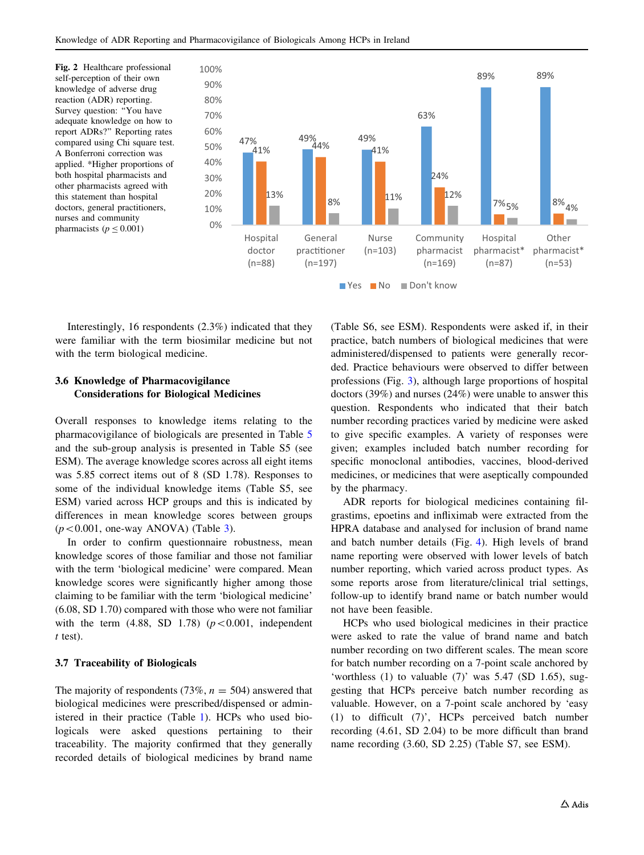<span id="page-7-0"></span>Fig. 2 Healthcare professional self-perception of their own knowledge of adverse drug reaction (ADR) reporting. Survey question: ''You have adequate knowledge on how to report ADRs?'' Reporting rates compared using Chi square test. A Bonferroni correction was applied. \*Higher proportions of both hospital pharmacists and other pharmacists agreed with this statement than hospital doctors, general practitioners, nurses and community pharmacists ( $p \le 0.001$ )



Interestingly, 16 respondents (2.3%) indicated that they were familiar with the term biosimilar medicine but not with the term biological medicine.

#### 3.6 Knowledge of Pharmacovigilance Considerations for Biological Medicines

Overall responses to knowledge items relating to the pharmacovigilance of biologicals are presented in Table [5](#page-9-0) and the sub-group analysis is presented in Table S5 (see ESM). The average knowledge scores across all eight items was 5.85 correct items out of 8 (SD 1.78). Responses to some of the individual knowledge items (Table S5, see ESM) varied across HCP groups and this is indicated by differences in mean knowledge scores between groups  $(p<0.001$ , one-way ANOVA) (Table [3](#page-6-0)).

In order to confirm questionnaire robustness, mean knowledge scores of those familiar and those not familiar with the term 'biological medicine' were compared. Mean knowledge scores were significantly higher among those claiming to be familiar with the term 'biological medicine' (6.08, SD 1.70) compared with those who were not familiar with the term  $(4.88, SD 1.78)$   $(p<0.001,$  independent t test).

#### 3.7 Traceability of Biologicals

The majority of respondents (73%,  $n = 504$ ) answered that biological medicines were prescribed/dispensed or administered in their practice (Table [1](#page-5-0)). HCPs who used biologicals were asked questions pertaining to their traceability. The majority confirmed that they generally recorded details of biological medicines by brand name

(Table S6, see ESM). Respondents were asked if, in their practice, batch numbers of biological medicines that were administered/dispensed to patients were generally recorded. Practice behaviours were observed to differ between professions (Fig. [3](#page-9-0)), although large proportions of hospital doctors (39%) and nurses (24%) were unable to answer this question. Respondents who indicated that their batch number recording practices varied by medicine were asked to give specific examples. A variety of responses were given; examples included batch number recording for specific monoclonal antibodies, vaccines, blood-derived medicines, or medicines that were aseptically compounded by the pharmacy.

ADR reports for biological medicines containing filgrastims, epoetins and infliximab were extracted from the HPRA database and analysed for inclusion of brand name and batch number details (Fig. [4](#page-10-0)). High levels of brand name reporting were observed with lower levels of batch number reporting, which varied across product types. As some reports arose from literature/clinical trial settings, follow-up to identify brand name or batch number would not have been feasible.

HCPs who used biological medicines in their practice were asked to rate the value of brand name and batch number recording on two different scales. The mean score for batch number recording on a 7-point scale anchored by 'worthless  $(1)$  to valuable  $(7)$ ' was  $5.47$  (SD 1.65), suggesting that HCPs perceive batch number recording as valuable. However, on a 7-point scale anchored by 'easy (1) to difficult (7)', HCPs perceived batch number recording (4.61, SD 2.04) to be more difficult than brand name recording (3.60, SD 2.25) (Table S7, see ESM).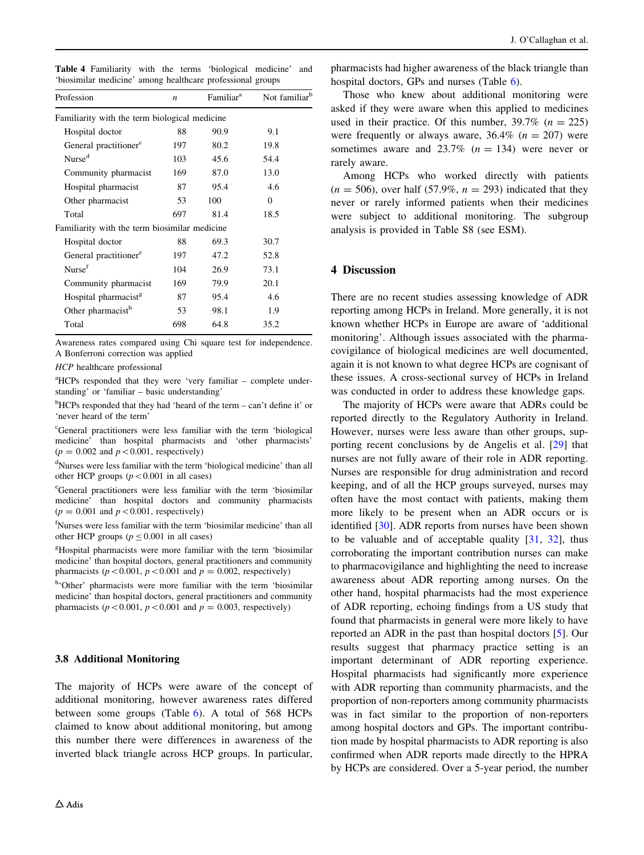<span id="page-8-0"></span>Table 4 Familiarity with the terms 'biological medicine' and 'biosimilar medicine' among healthcare professional groups

| Profession                                    | $\boldsymbol{n}$ | Familiar <sup>a</sup> | Not familiar <sup>b</sup> |
|-----------------------------------------------|------------------|-----------------------|---------------------------|
| Familiarity with the term biological medicine |                  |                       |                           |
| Hospital doctor                               | 88               | 90.9                  | 9.1                       |
| General practitioner <sup>c</sup>             | 197              | 80.2                  | 19.8                      |
| Nurse <sup>d</sup>                            | 103              | 45.6                  | 54.4                      |
| Community pharmacist                          | 169              | 87.0                  | 13.0                      |
| Hospital pharmacist                           | 87               | 95.4                  | 4.6                       |
| Other pharmacist                              | 53               | 100                   | $\mathbf{0}$              |
| Total                                         | 697              | 81.4                  | 18.5                      |
| Familiarity with the term biosimilar medicine |                  |                       |                           |
| Hospital doctor                               | 88               | 69.3                  | 30.7                      |
| General practitioner <sup>e</sup>             | 197              | 47.2                  | 52.8                      |
| Nurse <sup>f</sup>                            | 104              | 26.9                  | 73.1                      |
| Community pharmacist                          | 169              | 79.9                  | 20.1                      |
| Hospital pharmacist <sup>g</sup>              | 87               | 95.4                  | 4.6                       |
| Other pharmacist <sup>h</sup>                 | 53               | 98.1                  | 1.9                       |
| Total                                         | 698              | 64.8                  | 35.2                      |
|                                               |                  |                       |                           |

Awareness rates compared using Chi square test for independence. A Bonferroni correction was applied

HCP healthcare professional

<sup>a</sup>HCPs responded that they were 'very familiar - complete understanding' or 'familiar – basic understanding'

<sup>b</sup>HCPs responded that they had 'heard of the term – can't define it' or 'never heard of the term'

c General practitioners were less familiar with the term 'biological medicine' than hospital pharmacists and 'other pharmacists'  $(p = 0.002$  and  $p < 0.001$ , respectively)

<sup>d</sup>Nurses were less familiar with the term 'biological medicine' than all other HCP groups  $(p<0.001$  in all cases)

e General practitioners were less familiar with the term 'biosimilar medicine' than hospital doctors and community pharmacists  $(p = 0.001$  and  $p < 0.001$ , respectively)

f Nurses were less familiar with the term 'biosimilar medicine' than all other HCP groups ( $p \le 0.001$  in all cases)

<sup>g</sup>Hospital pharmacists were more familiar with the term 'biosimilar medicine' than hospital doctors, general practitioners and community pharmacists ( $p \lt 0.001$ ,  $p \lt 0.001$  and  $p = 0.002$ , respectively)

h 'Other' pharmacists were more familiar with the term 'biosimilar medicine' than hospital doctors, general practitioners and community pharmacists ( $p \lt 0.001$ ,  $p \lt 0.001$  and  $p = 0.003$ , respectively)

#### 3.8 Additional Monitoring

The majority of HCPs were aware of the concept of additional monitoring, however awareness rates differed between some groups (Table [6\)](#page-11-0). A total of 568 HCPs claimed to know about additional monitoring, but among this number there were differences in awareness of the inverted black triangle across HCP groups. In particular,

pharmacists had higher awareness of the black triangle than hospital doctors, GPs and nurses (Table [6](#page-11-0)).

Those who knew about additional monitoring were asked if they were aware when this applied to medicines used in their practice. Of this number,  $39.7\%$  ( $n = 225$ ) were frequently or always aware,  $36.4\%$  ( $n = 207$ ) were sometimes aware and  $23.7\%$  ( $n = 134$ ) were never or rarely aware.

Among HCPs who worked directly with patients  $(n = 506)$ , over half (57.9%,  $n = 293$ ) indicated that they never or rarely informed patients when their medicines were subject to additional monitoring. The subgroup analysis is provided in Table S8 (see ESM).

#### 4 Discussion

There are no recent studies assessing knowledge of ADR reporting among HCPs in Ireland. More generally, it is not known whether HCPs in Europe are aware of 'additional monitoring'. Although issues associated with the pharmacovigilance of biological medicines are well documented, again it is not known to what degree HCPs are cognisant of these issues. A cross-sectional survey of HCPs in Ireland was conducted in order to address these knowledge gaps.

The majority of HCPs were aware that ADRs could be reported directly to the Regulatory Authority in Ireland. However, nurses were less aware than other groups, supporting recent conclusions by de Angelis et al. [[29\]](#page-13-0) that nurses are not fully aware of their role in ADR reporting. Nurses are responsible for drug administration and record keeping, and of all the HCP groups surveyed, nurses may often have the most contact with patients, making them more likely to be present when an ADR occurs or is identified [\[30](#page-13-0)]. ADR reports from nurses have been shown to be valuable and of acceptable quality [\[31](#page-13-0), [32\]](#page-13-0), thus corroborating the important contribution nurses can make to pharmacovigilance and highlighting the need to increase awareness about ADR reporting among nurses. On the other hand, hospital pharmacists had the most experience of ADR reporting, echoing findings from a US study that found that pharmacists in general were more likely to have reported an ADR in the past than hospital doctors [[5\]](#page-13-0). Our results suggest that pharmacy practice setting is an important determinant of ADR reporting experience. Hospital pharmacists had significantly more experience with ADR reporting than community pharmacists, and the proportion of non-reporters among community pharmacists was in fact similar to the proportion of non-reporters among hospital doctors and GPs. The important contribution made by hospital pharmacists to ADR reporting is also confirmed when ADR reports made directly to the HPRA by HCPs are considered. Over a 5-year period, the number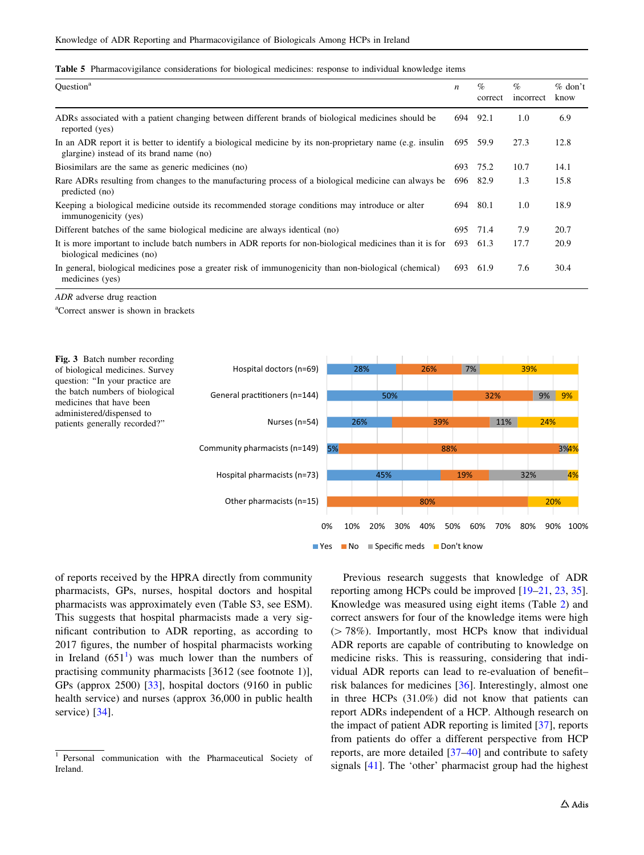<span id="page-9-0"></span>

|  | Table 5 Pharmacovigilance considerations for biological medicines: response to individual knowledge items |  |  |  |  |  |  |  |
|--|-----------------------------------------------------------------------------------------------------------|--|--|--|--|--|--|--|
|--|-----------------------------------------------------------------------------------------------------------|--|--|--|--|--|--|--|

| Question <sup>a</sup>                                                                                                                                 | $\boldsymbol{n}$ | $\%$<br>correct | $\%$<br>incorrect | $%$ don't<br>know |
|-------------------------------------------------------------------------------------------------------------------------------------------------------|------------------|-----------------|-------------------|-------------------|
| ADRs associated with a patient changing between different brands of biological medicines should be<br>reported (yes)                                  | 694              | 92.1            | 1.0               | 6.9               |
| In an ADR report it is better to identify a biological medicine by its non-proprietary name (e.g. insulin<br>glargine) instead of its brand name (no) | 695              | 59.9            | 27.3              | 12.8              |
| Biosimilars are the same as generic medicines (no)                                                                                                    | 693              | 75.2            | 10.7              | 14.1              |
| Rare ADRs resulting from changes to the manufacturing process of a biological medicine can always be<br>predicted (no)                                | 696              | 82.9            | 1.3               | 15.8              |
| Keeping a biological medicine outside its recommended storage conditions may introduce or alter<br>immunogenicity (yes)                               | 694              | 80.1            | 1.0               | 18.9              |
| Different batches of the same biological medicine are always identical (no)                                                                           | 695              | 71.4            | 7.9               | 20.7              |
| It is more important to include batch numbers in ADR reports for non-biological medicines than it is for<br>biological medicines (no)                 | 693              | 61.3            | 17.7              | 20.9              |
| In general, biological medicines pose a greater risk of immunogenicity than non-biological (chemical)<br>medicines (yes)                              | 693              | 61.9            | 7.6               | 30.4              |

ADR adverse drug reaction

a Correct answer is shown in brackets



of reports received by the HPRA directly from community pharmacists, GPs, nurses, hospital doctors and hospital pharmacists was approximately even (Table S3, see ESM). This suggests that hospital pharmacists made a very significant contribution to ADR reporting, as according to 2017 figures, the number of hospital pharmacists working in Ireland  $(651<sup>1</sup>)$  was much lower than the numbers of practising community pharmacists [3612 (see footnote 1)], GPs (approx 2500) [[33\]](#page-13-0), hospital doctors (9160 in public health service) and nurses (approx 36,000 in public health service) [\[34](#page-13-0)].

Previous research suggests that knowledge of ADR reporting among HCPs could be improved [\[19–21](#page-13-0), [23](#page-13-0), [35](#page-13-0)]. Knowledge was measured using eight items (Table [2](#page-6-0)) and correct answers for four of the knowledge items were high  $($   $> 78\%)$ . Importantly, most HCPs know that individual ADR reports are capable of contributing to knowledge on medicine risks. This is reassuring, considering that individual ADR reports can lead to re-evaluation of benefit– risk balances for medicines [\[36](#page-13-0)]. Interestingly, almost one in three HCPs (31.0%) did not know that patients can report ADRs independent of a HCP. Although research on the impact of patient ADR reporting is limited [\[37](#page-14-0)], reports from patients do offer a different perspective from HCP reports, are more detailed [[37–40\]](#page-14-0) and contribute to safety signals [\[41](#page-14-0)]. The 'other' pharmacist group had the highest

<sup>1</sup> Personal communication with the Pharmaceutical Society of Ireland.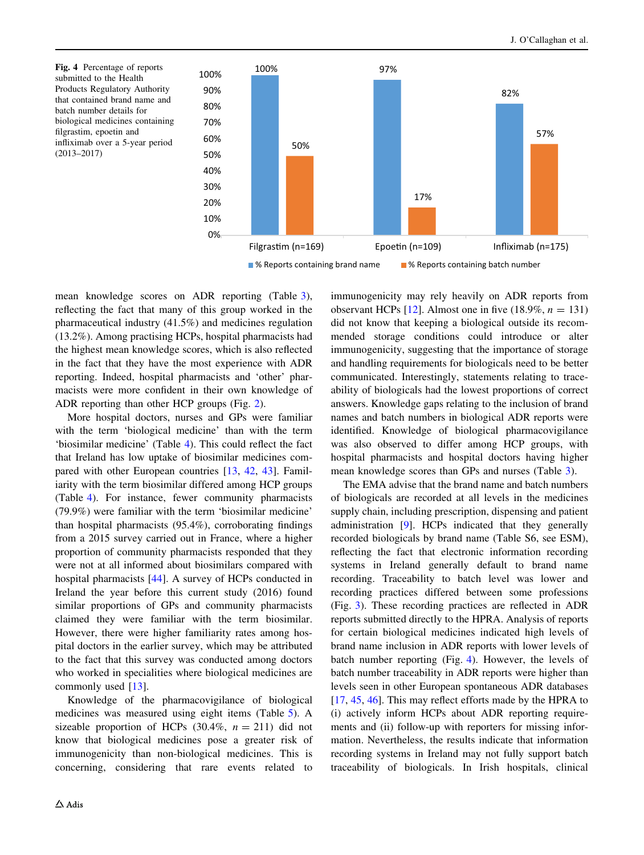<span id="page-10-0"></span>Fig. 4 Percentage of reports submitted to the Health Products Regulatory Authority that contained brand name and batch number details for biological medicines containing filgrastim, epoetin and infliximab over a 5-year period (2013–2017)



mean knowledge scores on ADR reporting (Table [3](#page-6-0)), reflecting the fact that many of this group worked in the pharmaceutical industry (41.5%) and medicines regulation (13.2%). Among practising HCPs, hospital pharmacists had the highest mean knowledge scores, which is also reflected in the fact that they have the most experience with ADR reporting. Indeed, hospital pharmacists and 'other' pharmacists were more confident in their own knowledge of ADR reporting than other HCP groups (Fig. [2](#page-7-0)).

More hospital doctors, nurses and GPs were familiar with the term 'biological medicine' than with the term 'biosimilar medicine' (Table [4\)](#page-8-0). This could reflect the fact that Ireland has low uptake of biosimilar medicines compared with other European countries [[13,](#page-13-0) [42](#page-14-0), [43\]](#page-14-0). Familiarity with the term biosimilar differed among HCP groups (Table [4](#page-8-0)). For instance, fewer community pharmacists (79.9%) were familiar with the term 'biosimilar medicine' than hospital pharmacists (95.4%), corroborating findings from a 2015 survey carried out in France, where a higher proportion of community pharmacists responded that they were not at all informed about biosimilars compared with hospital pharmacists [\[44](#page-14-0)]. A survey of HCPs conducted in Ireland the year before this current study (2016) found similar proportions of GPs and community pharmacists claimed they were familiar with the term biosimilar. However, there were higher familiarity rates among hospital doctors in the earlier survey, which may be attributed to the fact that this survey was conducted among doctors who worked in specialities where biological medicines are commonly used [\[13](#page-13-0)].

Knowledge of the pharmacovigilance of biological medicines was measured using eight items (Table [5](#page-9-0)). A sizeable proportion of HCPs  $(30.4\%, n = 211)$  did not know that biological medicines pose a greater risk of immunogenicity than non-biological medicines. This is concerning, considering that rare events related to immunogenicity may rely heavily on ADR reports from observant HCPs [[12\]](#page-13-0). Almost one in five  $(18.9\%, n = 131)$ did not know that keeping a biological outside its recommended storage conditions could introduce or alter immunogenicity, suggesting that the importance of storage and handling requirements for biologicals need to be better communicated. Interestingly, statements relating to traceability of biologicals had the lowest proportions of correct answers. Knowledge gaps relating to the inclusion of brand names and batch numbers in biological ADR reports were identified. Knowledge of biological pharmacovigilance was also observed to differ among HCP groups, with hospital pharmacists and hospital doctors having higher mean knowledge scores than GPs and nurses (Table [3](#page-6-0)).

The EMA advise that the brand name and batch numbers of biologicals are recorded at all levels in the medicines supply chain, including prescription, dispensing and patient administration [\[9](#page-13-0)]. HCPs indicated that they generally recorded biologicals by brand name (Table S6, see ESM), reflecting the fact that electronic information recording systems in Ireland generally default to brand name recording. Traceability to batch level was lower and recording practices differed between some professions (Fig. [3\)](#page-9-0). These recording practices are reflected in ADR reports submitted directly to the HPRA. Analysis of reports for certain biological medicines indicated high levels of brand name inclusion in ADR reports with lower levels of batch number reporting (Fig. 4). However, the levels of batch number traceability in ADR reports were higher than levels seen in other European spontaneous ADR databases [\[17](#page-13-0), [45,](#page-14-0) [46\]](#page-14-0). This may reflect efforts made by the HPRA to (i) actively inform HCPs about ADR reporting requirements and (ii) follow-up with reporters for missing information. Nevertheless, the results indicate that information recording systems in Ireland may not fully support batch traceability of biologicals. In Irish hospitals, clinical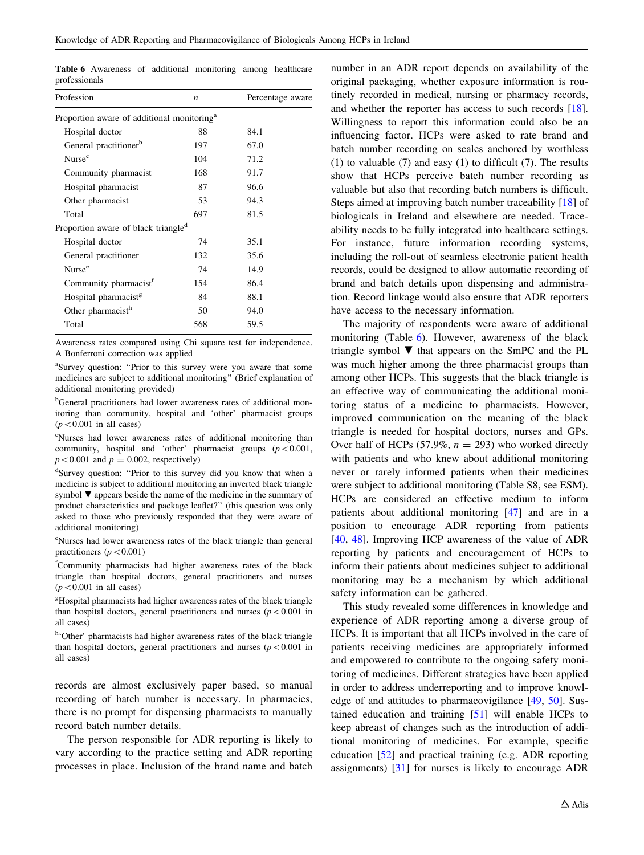<span id="page-11-0"></span>Table 6 Awareness of additional monitoring among healthcare professionals

| Profession                                             | n   | Percentage aware |
|--------------------------------------------------------|-----|------------------|
| Proportion aware of additional monitoring <sup>a</sup> |     |                  |
| Hospital doctor                                        | 88  | 84.1             |
| General practitioner <sup>b</sup>                      | 197 | 67.0             |
| Nurse <sup>c</sup>                                     | 104 | 71.2             |
| Community pharmacist                                   | 168 | 91.7             |
| Hospital pharmacist                                    | 87  | 96.6             |
| Other pharmacist                                       | 53  | 94.3             |
| Total                                                  | 697 | 81.5             |
| Proportion aware of black triangle <sup>d</sup>        |     |                  |
| Hospital doctor                                        | 74  | 35.1             |
| General practitioner                                   | 132 | 35.6             |
| Nurse <sup>e</sup>                                     | 74  | 14.9             |
| Community pharmacist <sup>1</sup>                      | 154 | 86.4             |
| Hospital pharmacist <sup>g</sup>                       | 84  | 88.1             |
| Other pharmacist <sup>h</sup>                          | 50  | 94.0             |
| Total                                                  | 568 | 59.5             |
|                                                        |     |                  |

Awareness rates compared using Chi square test for independence. A Bonferroni correction was applied

<sup>a</sup>Survey question: "Prior to this survey were you aware that some medicines are subject to additional monitoring'' (Brief explanation of additional monitoring provided)

<sup>b</sup>General practitioners had lower awareness rates of additional monitoring than community, hospital and 'other' pharmacist groups  $(p<0.001$  in all cases)

c Nurses had lower awareness rates of additional monitoring than community, hospital and 'other' pharmacist groups  $(p<0.001,$  $p < 0.001$  and  $p = 0.002$ , respectively)

<sup>d</sup>Survey question: "Prior to this survey did you know that when a medicine is subject to additional monitoring an inverted black triangle symbol  $\nabla$  appears beside the name of the medicine in the summary of product characteristics and package leaflet?'' (this question was only asked to those who previously responded that they were aware of additional monitoring)

e Nurses had lower awareness rates of the black triangle than general practitioners ( $p \le 0.001$ )

f Community pharmacists had higher awareness rates of the black triangle than hospital doctors, general practitioners and nurses  $(p<0.001$  in all cases)

<sup>g</sup>Hospital pharmacists had higher awareness rates of the black triangle than hospital doctors, general practitioners and nurses  $(p<0.001$  in all cases)

h'Other' pharmacists had higher awareness rates of the black triangle than hospital doctors, general practitioners and nurses  $(p<0.001$  in all cases)

records are almost exclusively paper based, so manual recording of batch number is necessary. In pharmacies, there is no prompt for dispensing pharmacists to manually record batch number details.

The person responsible for ADR reporting is likely to vary according to the practice setting and ADR reporting processes in place. Inclusion of the brand name and batch number in an ADR report depends on availability of the original packaging, whether exposure information is routinely recorded in medical, nursing or pharmacy records, and whether the reporter has access to such records [\[18](#page-13-0)]. Willingness to report this information could also be an influencing factor. HCPs were asked to rate brand and batch number recording on scales anchored by worthless (1) to valuable (7) and easy (1) to difficult (7). The results show that HCPs perceive batch number recording as valuable but also that recording batch numbers is difficult. Steps aimed at improving batch number traceability [\[18](#page-13-0)] of biologicals in Ireland and elsewhere are needed. Traceability needs to be fully integrated into healthcare settings. For instance, future information recording systems, including the roll-out of seamless electronic patient health records, could be designed to allow automatic recording of brand and batch details upon dispensing and administration. Record linkage would also ensure that ADR reporters have access to the necessary information.

The majority of respondents were aware of additional monitoring (Table 6). However, awareness of the black triangle symbol  $\nabla$  that appears on the SmPC and the PL was much higher among the three pharmacist groups than among other HCPs. This suggests that the black triangle is an effective way of communicating the additional monitoring status of a medicine to pharmacists. However, improved communication on the meaning of the black triangle is needed for hospital doctors, nurses and GPs. Over half of HCPs (57.9%,  $n = 293$ ) who worked directly with patients and who knew about additional monitoring never or rarely informed patients when their medicines were subject to additional monitoring (Table S8, see ESM). HCPs are considered an effective medium to inform patients about additional monitoring [[47\]](#page-14-0) and are in a position to encourage ADR reporting from patients [\[40](#page-14-0), [48\]](#page-14-0). Improving HCP awareness of the value of ADR reporting by patients and encouragement of HCPs to inform their patients about medicines subject to additional monitoring may be a mechanism by which additional safety information can be gathered.

This study revealed some differences in knowledge and experience of ADR reporting among a diverse group of HCPs. It is important that all HCPs involved in the care of patients receiving medicines are appropriately informed and empowered to contribute to the ongoing safety monitoring of medicines. Different strategies have been applied in order to address underreporting and to improve knowledge of and attitudes to pharmacovigilance [\[49,](#page-14-0) [50](#page-14-0)]. Sustained education and training [\[51](#page-14-0)] will enable HCPs to keep abreast of changes such as the introduction of additional monitoring of medicines. For example, specific education [\[52](#page-14-0)] and practical training (e.g. ADR reporting assignments) [[31\]](#page-13-0) for nurses is likely to encourage ADR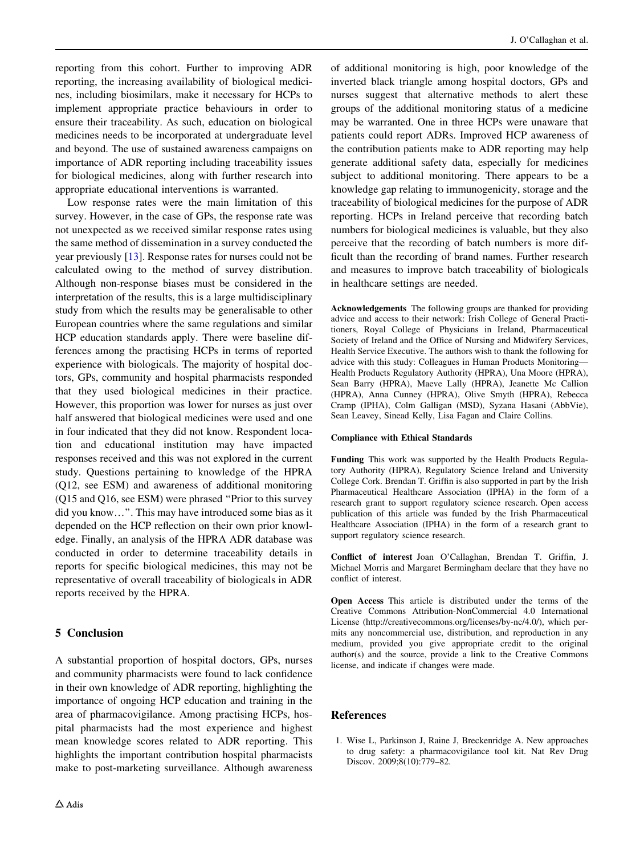<span id="page-12-0"></span>reporting from this cohort. Further to improving ADR reporting, the increasing availability of biological medicines, including biosimilars, make it necessary for HCPs to implement appropriate practice behaviours in order to ensure their traceability. As such, education on biological medicines needs to be incorporated at undergraduate level and beyond. The use of sustained awareness campaigns on importance of ADR reporting including traceability issues for biological medicines, along with further research into appropriate educational interventions is warranted.

Low response rates were the main limitation of this survey. However, in the case of GPs, the response rate was not unexpected as we received similar response rates using the same method of dissemination in a survey conducted the year previously [\[13](#page-13-0)]. Response rates for nurses could not be calculated owing to the method of survey distribution. Although non-response biases must be considered in the interpretation of the results, this is a large multidisciplinary study from which the results may be generalisable to other European countries where the same regulations and similar HCP education standards apply. There were baseline differences among the practising HCPs in terms of reported experience with biologicals. The majority of hospital doctors, GPs, community and hospital pharmacists responded that they used biological medicines in their practice. However, this proportion was lower for nurses as just over half answered that biological medicines were used and one in four indicated that they did not know. Respondent location and educational institution may have impacted responses received and this was not explored in the current study. Questions pertaining to knowledge of the HPRA (Q12, see ESM) and awareness of additional monitoring (Q15 and Q16, see ESM) were phrased ''Prior to this survey did you know…''. This may have introduced some bias as it depended on the HCP reflection on their own prior knowledge. Finally, an analysis of the HPRA ADR database was conducted in order to determine traceability details in reports for specific biological medicines, this may not be representative of overall traceability of biologicals in ADR reports received by the HPRA.

#### 5 Conclusion

A substantial proportion of hospital doctors, GPs, nurses and community pharmacists were found to lack confidence in their own knowledge of ADR reporting, highlighting the importance of ongoing HCP education and training in the area of pharmacovigilance. Among practising HCPs, hospital pharmacists had the most experience and highest mean knowledge scores related to ADR reporting. This highlights the important contribution hospital pharmacists make to post-marketing surveillance. Although awareness of additional monitoring is high, poor knowledge of the inverted black triangle among hospital doctors, GPs and nurses suggest that alternative methods to alert these groups of the additional monitoring status of a medicine may be warranted. One in three HCPs were unaware that patients could report ADRs. Improved HCP awareness of the contribution patients make to ADR reporting may help generate additional safety data, especially for medicines subject to additional monitoring. There appears to be a knowledge gap relating to immunogenicity, storage and the traceability of biological medicines for the purpose of ADR reporting. HCPs in Ireland perceive that recording batch numbers for biological medicines is valuable, but they also perceive that the recording of batch numbers is more difficult than the recording of brand names. Further research and measures to improve batch traceability of biologicals in healthcare settings are needed.

Acknowledgements The following groups are thanked for providing advice and access to their network: Irish College of General Practitioners, Royal College of Physicians in Ireland, Pharmaceutical Society of Ireland and the Office of Nursing and Midwifery Services, Health Service Executive. The authors wish to thank the following for advice with this study: Colleagues in Human Products Monitoring— Health Products Regulatory Authority (HPRA), Una Moore (HPRA), Sean Barry (HPRA), Maeve Lally (HPRA), Jeanette Mc Callion (HPRA), Anna Cunney (HPRA), Olive Smyth (HPRA), Rebecca Cramp (IPHA), Colm Galligan (MSD), Syzana Hasani (AbbVie), Sean Leavey, Sinead Kelly, Lisa Fagan and Claire Collins.

#### Compliance with Ethical Standards

Funding This work was supported by the Health Products Regulatory Authority (HPRA), Regulatory Science Ireland and University College Cork. Brendan T. Griffin is also supported in part by the Irish Pharmaceutical Healthcare Association (IPHA) in the form of a research grant to support regulatory science research. Open access publication of this article was funded by the Irish Pharmaceutical Healthcare Association (IPHA) in the form of a research grant to support regulatory science research.

Conflict of interest Joan O'Callaghan, Brendan T. Griffin, J. Michael Morris and Margaret Bermingham declare that they have no conflict of interest.

Open Access This article is distributed under the terms of the Creative Commons Attribution-NonCommercial 4.0 International License (http://creativecommons.org/licenses/by-nc/4.0/), which permits any noncommercial use, distribution, and reproduction in any medium, provided you give appropriate credit to the original author(s) and the source, provide a link to the Creative Commons license, and indicate if changes were made.

#### References

1. Wise L, Parkinson J, Raine J, Breckenridge A. New approaches to drug safety: a pharmacovigilance tool kit. Nat Rev Drug Discov. 2009;8(10):779–82.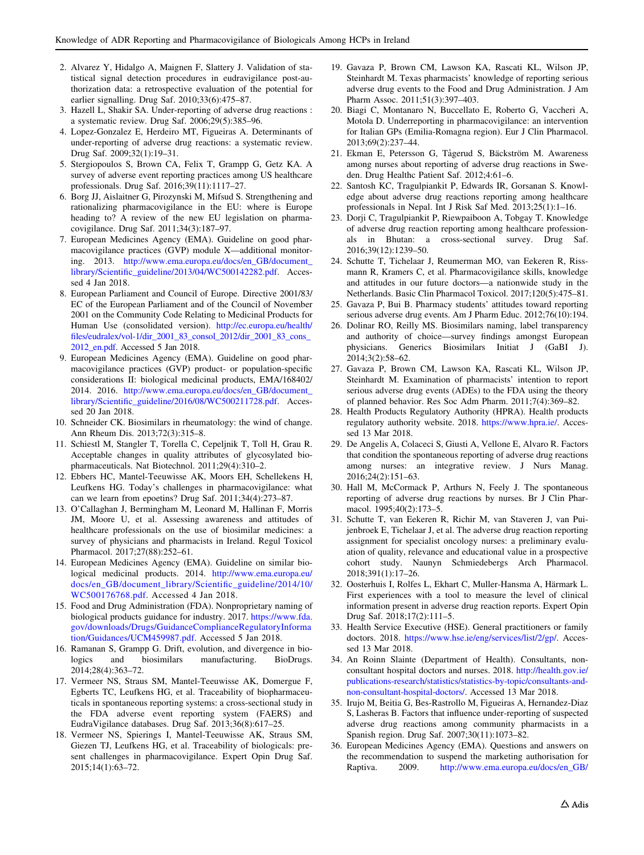- <span id="page-13-0"></span>2. Alvarez Y, Hidalgo A, Maignen F, Slattery J. Validation of statistical signal detection procedures in eudravigilance post-authorization data: a retrospective evaluation of the potential for earlier signalling. Drug Saf. 2010;33(6):475–87.
- 3. Hazell L, Shakir SA. Under-reporting of adverse drug reactions : a systematic review. Drug Saf. 2006;29(5):385–96.
- 4. Lopez-Gonzalez E, Herdeiro MT, Figueiras A. Determinants of under-reporting of adverse drug reactions: a systematic review. Drug Saf. 2009;32(1):19–31.
- 5. Stergiopoulos S, Brown CA, Felix T, Grampp G, Getz KA. A survey of adverse event reporting practices among US healthcare professionals. Drug Saf. 2016;39(11):1117–27.
- 6. Borg JJ, Aislaitner G, Pirozynski M, Mifsud S. Strengthening and rationalizing pharmacovigilance in the EU: where is Europe heading to? A review of the new EU legislation on pharmacovigilance. Drug Saf. 2011;34(3):187–97.
- 7. European Medicines Agency (EMA). Guideline on good pharmacovigilance practices (GVP) module X—additional monitoring. 2013. [http://www.ema.europa.eu/docs/en\\_GB/document\\_](http://www.ema.europa.eu/docs/en_GB/document_library/Scientific_guideline/2013/04/WC500142282.pdf) [library/Scientific\\_guideline/2013/04/WC500142282.pdf](http://www.ema.europa.eu/docs/en_GB/document_library/Scientific_guideline/2013/04/WC500142282.pdf). Accessed 4 Jan 2018.
- 8. European Parliament and Council of Europe. Directive 2001/83/ EC of the European Parliament and of the Council of November 2001 on the Community Code Relating to Medicinal Products for Human Use (consolidated version). [http://ec.europa.eu/health/](http://ec.europa.eu/health/files/eudralex/vol-1/dir_2001_83_consol_2012/dir_2001_83_cons_2012_en.pdf) [files/eudralex/vol-1/dir\\_2001\\_83\\_consol\\_2012/dir\\_2001\\_83\\_cons\\_](http://ec.europa.eu/health/files/eudralex/vol-1/dir_2001_83_consol_2012/dir_2001_83_cons_2012_en.pdf) [2012\\_en.pdf.](http://ec.europa.eu/health/files/eudralex/vol-1/dir_2001_83_consol_2012/dir_2001_83_cons_2012_en.pdf) Accessed 5 Jan 2018.
- 9. European Medicines Agency (EMA). Guideline on good pharmacovigilance practices (GVP) product- or population-specific considerations II: biological medicinal products, EMA/168402/ 2014. 2016. [http://www.ema.europa.eu/docs/en\\_GB/document\\_](http://www.ema.europa.eu/docs/en_GB/document_library/Scientific_guideline/2016/08/WC500211728.pdf) [library/Scientific\\_guideline/2016/08/WC500211728.pdf](http://www.ema.europa.eu/docs/en_GB/document_library/Scientific_guideline/2016/08/WC500211728.pdf). Accessed 20 Jan 2018.
- 10. Schneider CK. Biosimilars in rheumatology: the wind of change. Ann Rheum Dis. 2013;72(3):315–8.
- 11. Schiestl M, Stangler T, Torella C, Cepeljnik T, Toll H, Grau R. Acceptable changes in quality attributes of glycosylated biopharmaceuticals. Nat Biotechnol. 2011;29(4):310–2.
- 12. Ebbers HC, Mantel-Teeuwisse AK, Moors EH, Schellekens H, Leufkens HG. Today's challenges in pharmacovigilance: what can we learn from epoetins? Drug Saf. 2011;34(4):273–87.
- 13. O'Callaghan J, Bermingham M, Leonard M, Hallinan F, Morris JM, Moore U, et al. Assessing awareness and attitudes of healthcare professionals on the use of biosimilar medicines: a survey of physicians and pharmacists in Ireland. Regul Toxicol Pharmacol. 2017;27(88):252–61.
- 14. European Medicines Agency (EMA). Guideline on similar biological medicinal products. 2014. [http://www.ema.europa.eu/](http://www.ema.europa.eu/docs/en_GB/document_library/Scientific_guideline/2014/10/WC500176768.pdf) [docs/en\\_GB/document\\_library/Scientific\\_guideline/2014/10/](http://www.ema.europa.eu/docs/en_GB/document_library/Scientific_guideline/2014/10/WC500176768.pdf) [WC500176768.pdf](http://www.ema.europa.eu/docs/en_GB/document_library/Scientific_guideline/2014/10/WC500176768.pdf). Accessed 4 Jan 2018.
- 15. Food and Drug Administration (FDA). Nonproprietary naming of biological products guidance for industry. 2017. [https://www.fda.](https://www.fda.gov/downloads/Drugs/GuidanceComplianceRegulatoryInformation/Guidances/UCM459987.pdf) [gov/downloads/Drugs/GuidanceComplianceRegulatoryInforma](https://www.fda.gov/downloads/Drugs/GuidanceComplianceRegulatoryInformation/Guidances/UCM459987.pdf) [tion/Guidances/UCM459987.pdf.](https://www.fda.gov/downloads/Drugs/GuidanceComplianceRegulatoryInformation/Guidances/UCM459987.pdf) Accessed 5 Jan 2018.
- 16. Ramanan S, Grampp G. Drift, evolution, and divergence in biologics and biosimilars manufacturing. BioDrugs. 2014;28(4):363–72.
- 17. Vermeer NS, Straus SM, Mantel-Teeuwisse AK, Domergue F, Egberts TC, Leufkens HG, et al. Traceability of biopharmaceuticals in spontaneous reporting systems: a cross-sectional study in the FDA adverse event reporting system (FAERS) and EudraVigilance databases. Drug Saf. 2013;36(8):617–25.
- 18. Vermeer NS, Spierings I, Mantel-Teeuwisse AK, Straus SM, Giezen TJ, Leufkens HG, et al. Traceability of biologicals: present challenges in pharmacovigilance. Expert Opin Drug Saf. 2015;14(1):63–72.
- 19. Gavaza P, Brown CM, Lawson KA, Rascati KL, Wilson JP, Steinhardt M. Texas pharmacists' knowledge of reporting serious adverse drug events to the Food and Drug Administration. J Am Pharm Assoc. 2011;51(3):397–403.
- 20. Biagi C, Montanaro N, Buccellato E, Roberto G, Vaccheri A, Motola D. Underreporting in pharmacovigilance: an intervention for Italian GPs (Emilia-Romagna region). Eur J Clin Pharmacol. 2013;69(2):237–44.
- 21. Ekman E, Petersson G, Tågerud S, Bäckström M. Awareness among nurses about reporting of adverse drug reactions in Sweden. Drug Healthc Patient Saf. 2012;4:61–6.
- 22. Santosh KC, Tragulpiankit P, Edwards IR, Gorsanan S. Knowledge about adverse drug reactions reporting among healthcare professionals in Nepal. Int J Risk Saf Med. 2013;25(1):1–16.
- 23. Dorji C, Tragulpiankit P, Riewpaiboon A, Tobgay T. Knowledge of adverse drug reaction reporting among healthcare professionals in Bhutan: a cross-sectional survey. Drug Saf. 2016;39(12):1239–50.
- 24. Schutte T, Tichelaar J, Reumerman MO, van Eekeren R, Rissmann R, Kramers C, et al. Pharmacovigilance skills, knowledge and attitudes in our future doctors—a nationwide study in the Netherlands. Basic Clin Pharmacol Toxicol. 2017;120(5):475–81.
- 25. Gavaza P, Bui B. Pharmacy students' attitudes toward reporting serious adverse drug events. Am J Pharm Educ. 2012;76(10):194.
- 26. Dolinar RO, Reilly MS. Biosimilars naming, label transparency and authority of choice—survey findings amongst European physicians. Generics Biosimilars Initiat J (GaBI J). 2014;3(2):58–62.
- 27. Gavaza P, Brown CM, Lawson KA, Rascati KL, Wilson JP, Steinhardt M. Examination of pharmacists' intention to report serious adverse drug events (ADEs) to the FDA using the theory of planned behavior. Res Soc Adm Pharm. 2011;7(4):369–82.
- 28. Health Products Regulatory Authority (HPRA). Health products regulatory authority website. 2018. [https://www.hpra.ie/.](https://www.hpra.ie/) Accessed 13 Mar 2018.
- 29. De Angelis A, Colaceci S, Giusti A, Vellone E, Alvaro R. Factors that condition the spontaneous reporting of adverse drug reactions among nurses: an integrative review. J Nurs Manag. 2016;24(2):151–63.
- 30. Hall M, McCormack P, Arthurs N, Feely J. The spontaneous reporting of adverse drug reactions by nurses. Br J Clin Pharmacol. 1995;40(2):173-5.
- 31. Schutte T, van Eekeren R, Richir M, van Staveren J, van Puijenbroek E, Tichelaar J, et al. The adverse drug reaction reporting assignment for specialist oncology nurses: a preliminary evaluation of quality, relevance and educational value in a prospective cohort study. Naunyn Schmiedebergs Arch Pharmacol. 2018;391(1):17–26.
- 32. Oosterhuis I, Rolfes L, Ekhart C, Muller-Hansma A, Härmark L. First experiences with a tool to measure the level of clinical information present in adverse drug reaction reports. Expert Opin Drug Saf. 2018;17(2):111–5.
- 33. Health Service Executive (HSE). General practitioners or family doctors. 2018. [https://www.hse.ie/eng/services/list/2/gp/.](https://www.hse.ie/eng/services/list/2/gp/) Accessed 13 Mar 2018.
- 34. An Roinn Slainte (Department of Health). Consultants, nonconsultant hospital doctors and nurses. 2018. [http://health.gov.ie/](http://health.gov.ie/publications-research/statistics/statistics-by-topic/consultants-and-non-consultant-hospital-doctors/) [publications-research/statistics/statistics-by-topic/consultants-and](http://health.gov.ie/publications-research/statistics/statistics-by-topic/consultants-and-non-consultant-hospital-doctors/)[non-consultant-hospital-doctors/](http://health.gov.ie/publications-research/statistics/statistics-by-topic/consultants-and-non-consultant-hospital-doctors/). Accessed 13 Mar 2018.
- 35. Irujo M, Beitia G, Bes-Rastrollo M, Figueiras A, Hernandez-Diaz S, Lasheras B. Factors that influence under-reporting of suspected adverse drug reactions among community pharmacists in a Spanish region. Drug Saf. 2007;30(11):1073–82.
- 36. European Medicines Agency (EMA). Questions and answers on the recommendation to suspend the marketing authorisation for Raptiva. 2009. [http://www.ema.europa.eu/docs/en\\_GB/](http://www.ema.europa.eu/docs/en_GB/document_library/Medicine_QA/2009/11/WC500014492.pdf)